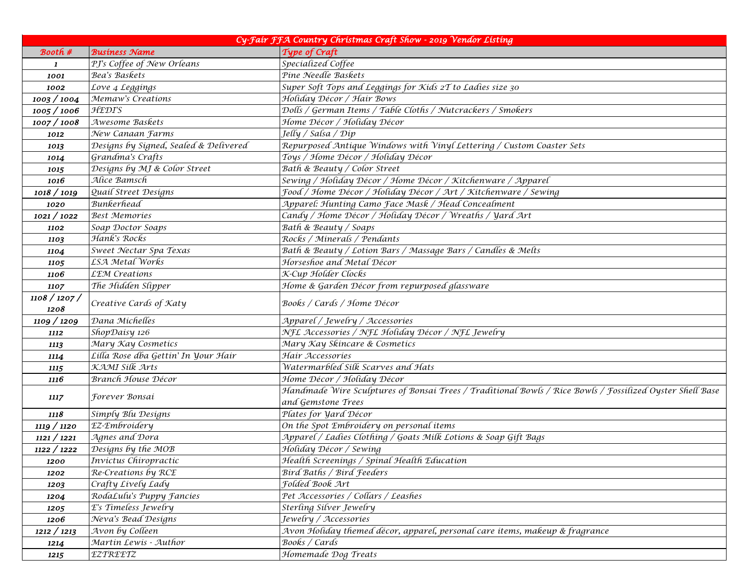| Cy-Fair FFA Country Christmas Craft Show - 2019 Vendor Listing |                                       |                                                                                                          |
|----------------------------------------------------------------|---------------------------------------|----------------------------------------------------------------------------------------------------------|
| Booth #                                                        | <b>Busíness Name</b>                  | Type of Craft                                                                                            |
| 1                                                              | PJ's Coffee of New Orleans            | Specialized Coffee                                                                                       |
| 1001                                                           | Bea's Baskets                         | Pine Needle Baskets                                                                                      |
| 1002                                                           | Love 4 Leggings                       | Super Soft Tops and Leggings for Kids 2T to Ladies size 30                                               |
| 1003 / 1004                                                    | Memaw's Creations                     | Holiday Décor / Hair Bows                                                                                |
| 1005 / 1006                                                    | <b>HEDI'S</b>                         | Dolls / German Items / Table Cloths / Nutcrackers / Smokers                                              |
| 1007 / 1008                                                    | Awesome Baskets                       | Home Décor / Holiday Décor                                                                               |
| 1012                                                           | New Canaan Farms                      | Jelly / Salsa / Dip                                                                                      |
| 1013                                                           | Designs by Signed, Sealed & Delivered | Repurposed Antique Windows with Vinyl Lettering / Custom Coaster Sets                                    |
| 1014                                                           | Grandma's Crafts                      | Toys / Home Décor / Holiday Décor                                                                        |
| 1015                                                           | Designs by MJ & Color Street          | Bath & Beauty / Color Street                                                                             |
| 1016                                                           | Alice Bamsch                          | Sewing / Holiday Décor / Home Décor / Kitchenware / Apparel                                              |
| 1018 / 1019                                                    | Quail Street Designs                  | Food / Home Décor / Holiday Décor / Art / Kitchenware / Sewing                                           |
| 1020                                                           | Bunkerhead                            | Apparel: Hunting Camo Face Mask / Head Concealment                                                       |
| 1021 / 1022                                                    | <b>Best Memories</b>                  | Candy / Home Décor / Holiday Décor / Wreaths / Yard Art                                                  |
| 1102                                                           | Soap Doctor Soaps                     | Bath & Beauty / Soaps                                                                                    |
| 1103                                                           | Hank's Rocks                          | Rocks / Minerals / Pendants                                                                              |
| 1104                                                           | Sweet Nectar Spa Texas                | Bath & Beauty / Lotion Bars / Massage Bars / Candles & Melts                                             |
| 1105                                                           | <b>LSA Metal Works</b>                | Horseshoe and Metal Décor                                                                                |
| 1106                                                           | <b>LEM</b> Creations                  | K-Cup Holder Clocks                                                                                      |
| 1107                                                           | The Hidden Slipper                    | Home & Garden Décor from repurposed glassware                                                            |
| 1108 / 1207 /                                                  | Creative Cards of Katy                | Books / Cards / Home Décor                                                                               |
| 1208                                                           |                                       |                                                                                                          |
| 1109 / 1209                                                    | Dana Michelles                        | Apparel / Jewelry / Accessories                                                                          |
| 1112                                                           | ShopDaisy 126                         | NFL Accessories / NFL Holiday Décor / NFL Jewelry                                                        |
| 1113                                                           | Mary Kay Cosmetics                    | Mary Kay Skincare & Cosmetics                                                                            |
| 1114                                                           | Lilla Rose dba Gettin' In Your Hair   | Hair Accessories                                                                                         |
| 1115                                                           | KAMI Silk Arts                        | Watermarbled Silk Scarves and Hats                                                                       |
| 1116                                                           | Branch House Décor                    | Home Décor / Holiday Décor                                                                               |
| <i>1117</i>                                                    | Forever Bonsai                        | Handmade Wire Sculptures of Bonsai Trees / Traditional Bowls / Rice Bowls / Fossilized Oyster Shell Base |
|                                                                |                                       | and Gemstone Trees                                                                                       |
| 1118                                                           | Simply Blu Designs                    | Plates for Yard Décor                                                                                    |
| 1119 / 1120                                                    | EZ-Embroidery                         | On the Spot Embroidery on personal items                                                                 |
| 1121 / 1221                                                    | Agnes and Dora                        | Apparel / Ladies Clothing / Goats Milk Lotions & Soap Gift Bags                                          |
| 1122 / 1222                                                    | Designs by the MOB                    | Holiday Décor / Sewing                                                                                   |
| 1200                                                           | Invíctus Chiropractic                 | Health Screenings / Spinal Health Education                                                              |
| 1202                                                           | Re-Creations by RCE                   | Bird Baths / Bird Feeders                                                                                |
| 1203                                                           | Crafty Lively Lady                    | Folded Book Art                                                                                          |
| 1204                                                           | RodaLulu's Puppy Fancies              | Pet Accessories / Collars / Leashes                                                                      |
| 1205                                                           | E's Timeless Jewelry                  | Sterling Silver Jewelry                                                                                  |
| 1206                                                           | Neva's Bead Designs                   | Jewelry / Accessories                                                                                    |
| 1212 / 1213                                                    | Avon by Colleen                       | Avon Holiday themed décor, apparel, personal care items, makeup & fragrance                              |
| 1214                                                           | Martin Lewis - Author                 | Books / Cards                                                                                            |
| 1215                                                           | EZTREETZ                              | Homemade Dog Treats                                                                                      |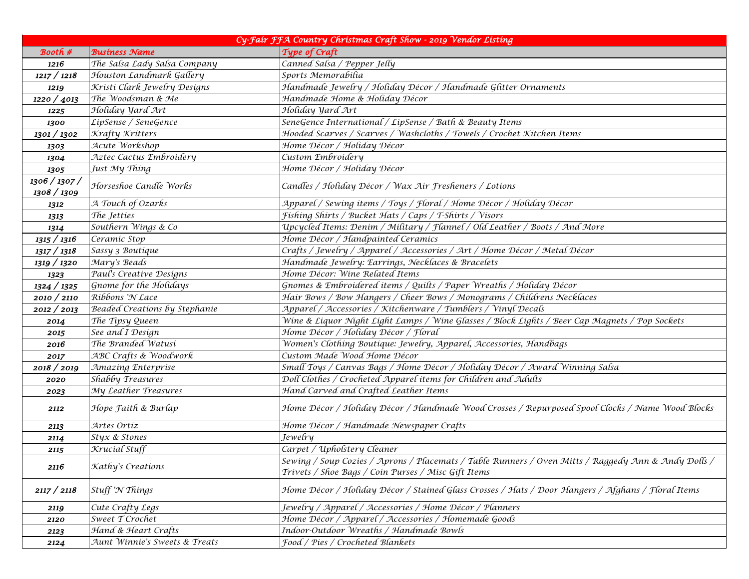| Cy-Fair FFA Country Christmas Craft Show - 2019 Vendor Listing |                               |                                                                                                     |  |
|----------------------------------------------------------------|-------------------------------|-----------------------------------------------------------------------------------------------------|--|
| Booth #                                                        | <b>Business Name</b>          | Type of Craft                                                                                       |  |
| 1216                                                           | The Salsa Lady Salsa Company  | Canned Salsa / Pepper Jelly                                                                         |  |
| 1217 / 1218                                                    | Houston Landmark Gallery      | Sports Memorabilia                                                                                  |  |
| 1219                                                           | Kristi Clark Jewelry Designs  | Handmade Jewelry / Holiday Décor / Handmade Glitter Ornaments                                       |  |
| 1220 / 4013                                                    | The Woodsman & Me             | Handmade Home & Holiday Décor                                                                       |  |
| 1225                                                           | Holiday Yard Art              | Holiday Yard Art                                                                                    |  |
| 1300                                                           | LipSense / SeneGence          | SeneGence International / LipSense / Bath & Beauty Items                                            |  |
| 1301 / 1302                                                    | Krafty Kritters               | Hooded Scarves / Scarves / Washcloths / Towels / Crochet Kitchen Items                              |  |
| 1303                                                           | Acute Workshop                | Home Décor / Holiday Décor                                                                          |  |
| 1304                                                           | Aztec Cactus Embroidery       | Custom Embroidery                                                                                   |  |
| 1305                                                           | Just My Thing                 | Home Décor / Holiday Décor                                                                          |  |
| 1306 / 1307 /<br>1308 / 1309                                   | Horseshoe Candle Works        | Candles / Holiday Décor / Wax Air Fresheners / Lotions                                              |  |
|                                                                | A Touch of Ozarks             | Apparel / Sewing items / Toys / Floral / Home Décor / Holiday Décor                                 |  |
| 1312                                                           | The Jetties                   | Fishing Shirts / Bucket Hats / Caps / T-Shirts / Visors                                             |  |
| 1313<br>1314                                                   | Southern Wings & Co           | Upcycled Items: Denim / Military / Flannel / Old Leather / Boots / And More                         |  |
| 1315 / 1316                                                    | Ceramic Stop                  | Home Décor / Handpainted Ceramics                                                                   |  |
| 1317 / 1318                                                    | Sassy 3 Boutique              | Crafts / Jewelry / Apparel / Accessories / Art / Home Décor / Metal Décor                           |  |
| 1319 / 1320                                                    | Mary's Beads                  | Handmade Jewelry: Earrings, Necklaces & Bracelets                                                   |  |
| 1323                                                           | Paul's Creative Designs       | Home Décor: Wine Related Items                                                                      |  |
| 1324 / 1325                                                    | Gnome for the Holidays        | Gnomes & Embroidered items / Quilts / Paper Wreaths / Holiday Décor                                 |  |
| 2010 / 2110                                                    | Ribbons 'N Lace               | Hair Bows / Bow Hangers / Cheer Bows / Monograms / Childrens Necklaces                              |  |
| 2012 / 2013                                                    | Beaded Creations by Stephanie | Apparel / Accessories / Kitchenware / Tumblers / Vinyl Decals                                       |  |
|                                                                | The Tipsy Queen               | Wine & Liquor Night Light Lamps / Wine Glasses / Block Lights / Beer Cap Magnets / Pop Sockets      |  |
| 2014                                                           | See and I Design              | Home Décor / Holiday Décor / Floral                                                                 |  |
| 2015<br>2016                                                   | The Branded Watusi            | Women's Clothing Boutique: Jewelry, Apparel, Accessories, Handbags                                  |  |
|                                                                | ABC Crafts & Woodwork         | Custom Made Wood Home Décor                                                                         |  |
| 2017<br>2018 / 2019                                            | Amazing Enterprise            | Small Toys / Canvas Bags / Home Décor / Holiday Décor / Award Winning Salsa                         |  |
|                                                                | Shabby Treasures              | Doll Clothes / Crocheted Apparel items for Children and Adults                                      |  |
| 2020                                                           | My Leather Treasures          | Hand Carved and Crafted Leather Items                                                               |  |
| 2023                                                           |                               |                                                                                                     |  |
| 2112                                                           | Hope Faith & Burlap           | Home Décor / Holiday Décor / Handmade Wood Crosses / Repurposed Spool Clocks / Name Wood Blocks     |  |
| 2113                                                           | Artes Ortiz                   | Home Décor / Handmade Newspaper Crafts                                                              |  |
| 2114                                                           | Styx & Stones                 | Jewelry                                                                                             |  |
| 2115                                                           | Krucial Stuff                 | Carpet / Upholstery Cleaner                                                                         |  |
| 2116                                                           | Kathy's Creations             | Sewing / Soup Cozies / Aprons / Placemats / Table Runners / Oven Mitts / Raggedy Ann & Andy Dolls / |  |
|                                                                |                               | Trivets / Shoe Bags / Coin Purses / Misc Gift Items                                                 |  |
| 2117 / 2118                                                    | Stuff 'N Things               | Home Décor / Holiday Décor / Stained Glass Crosses / Hats / Door Hangers / Afghans / Floral Items   |  |
| 2119                                                           | Cute Crafty Legs              | Jewelry / Apparel / Accessories / Home Décor / Planners                                             |  |
| 2120                                                           | Sweet T Crochet               | Home Décor / Apparel / Accessories / Homemade Goods                                                 |  |
| 2123                                                           | Hand & Heart Crafts           | Indoor-Outdoor Wreaths / Handmade Bowls                                                             |  |
| 2124                                                           | Aunt Winnie's Sweets & Treats | Food / Pies / Crocheted Blankets                                                                    |  |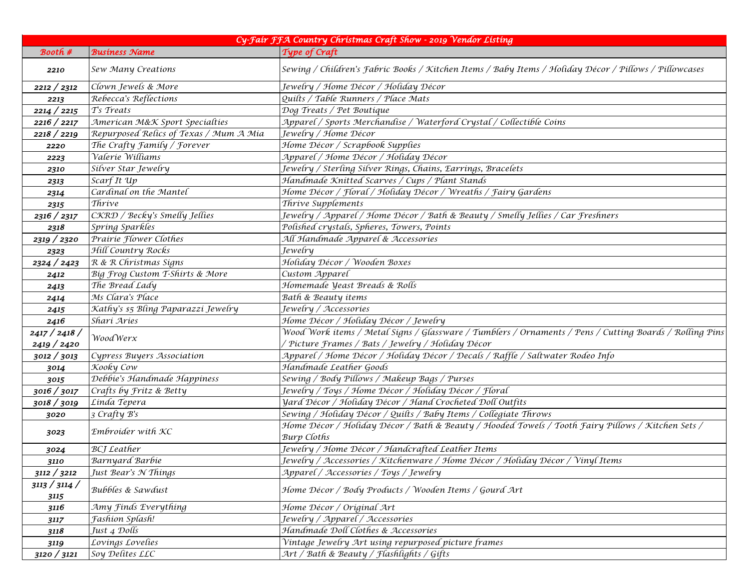| Cy-Fair FFA Country Christmas Craft Show - 2019 Vendor Listing |                                        |                                                                                                         |
|----------------------------------------------------------------|----------------------------------------|---------------------------------------------------------------------------------------------------------|
| Booth #                                                        | <b>Business Name</b>                   | Type of Craft                                                                                           |
| 2210                                                           | Sew Many Creations                     | Sewing / Children's Fabric Books / Kitchen Items / Baby Items / Holiday Décor / Pillows / Pillowcases   |
| 2212 / 2312                                                    | Clown Jewels & More                    | Jewelry / Home Décor / Holíday Décor                                                                    |
| 2213                                                           | Rebecca's Reflections                  | Quilts / Table Runners / Place Mats                                                                     |
| 2214 / 2215                                                    | T's Treats                             | Dog Treats / Pet Boutique                                                                               |
| 2216 / 2217                                                    | American M&K Sport Specialties         | Apparel / Sports Merchandise / Waterford Crystal / Collectible Coins                                    |
| 2218 / 2219                                                    | Repurposed Relics of Texas / Mum A Mia | Jewelry / Home Décor                                                                                    |
| 2220                                                           | The Crafty Family / Forever            | Home Décor / Scrapbook Supplies                                                                         |
| 2223                                                           | Valerie Williams                       | Apparel / Home Décor / Holiday Décor                                                                    |
| 2310                                                           | Silver Star Jewelry                    | Jewelry / Sterling Silver Rings, Chains, Earrings, Bracelets                                            |
| 2313                                                           | Scarf It Up                            | Handmade Knitted Scarves / Cups / Plant Stands                                                          |
| 2314                                                           | Cardinal on the Mantel                 | Home Décor / Floral / Holiday Décor / Wreaths / Fairy Gardens                                           |
| 2315                                                           | Thrive                                 | Thrive Supplements                                                                                      |
| 2316 / 2317                                                    | CKRD / Becky's Smelly Jellies          | Jewelry / Apparel / Home Décor / Bath & Beauty / Smelly Jellies / Car Freshners                         |
| 2318                                                           | Spring Sparkles                        | Polished crystals, Spheres, Towers, Points                                                              |
| 2319 / 2320                                                    | Prairie Flower Clothes                 | All Handmade Apparel & Accessories                                                                      |
| 2323                                                           | Hill Country Rocks                     | Jewelry                                                                                                 |
| 2324 / 2423                                                    | R & R Christmas Signs                  | Holiday Décor / Wooden Boxes                                                                            |
| 2412                                                           | Big Frog Custom T-Shirts & More        | Custom Apparel                                                                                          |
| 2413                                                           | The Bread Lady                         | Homemade Yeast Breads & Rolls                                                                           |
| 2414                                                           | Ms Clara's Place                       | Bath & Beauty items                                                                                     |
| 2415                                                           | Kathy's \$5 Bling Paparazzi Jewelry    | Jewelry / Accessories                                                                                   |
| 2416                                                           | Shari Aries                            | Home Décor / Holiday Décor / Jewelry                                                                    |
| 2417 / 2418 /                                                  | Wood Werx                              | Wood Work items / Metal Signs / Glassware / Tumblers / Ornaments / Pens / Cutting Boards / Rolling Pins |
| 2419 / 2420                                                    |                                        | / Picture Frames / Bats / Jewelry / Holiday Décor                                                       |
| 3012 / 3013                                                    | Cypress Buyers Association             | Apparel / Home Décor / Holíday Décor / Decals / Raffle / Saltwater Rodeo Info                           |
| 3014                                                           | Kooky Cow                              | Handmade Leather Goods                                                                                  |
| 3015                                                           | Debbie's Handmade Happiness            | Sewing / Body Pillows / Makeup Bags / Purses                                                            |
| 3016 / 3017                                                    | Crafts by Fritz & Betty                | Jewelry / Toys / Home Décor / Holiday Décor / Floral                                                    |
| 3018 / 3019                                                    | Linda Tepera                           | Yard Décor / Holiday Décor / Hand Crocheted Doll Outfits                                                |
| 3020                                                           | 3 Crafty B's                           | Sewing / Holiday Décor / Quilts / Baby Items / Collegiate Throws                                        |
| 3023                                                           | Embroider with KC                      | Home Décor / Holiday Décor / Bath & Beauty / Hooded Towels / Tooth Fairy Pillows / Kitchen Sets /       |
|                                                                |                                        | <b>Burp Cloths</b>                                                                                      |
| 3024                                                           | <b>BCJ</b> Leather                     | Jewelry / Home Décor / Handcrafted Leather Items                                                        |
| 3110                                                           | <b>Barnyard Barbie</b>                 | Jewelry / Accessories / Kitchenware / Home Décor / Holiday Décor / Vinyl Items                          |
| 3112 / 3212                                                    | Just Bear's N Things                   | Apparel / Accessories / Toys / Jewelry                                                                  |
| 3113 / 3114 /<br>3115                                          | Bubbles & Sawdust                      | Home Décor / Body Products / Wooden Items / Gourd Art                                                   |
| 3116                                                           | Amy Finds Everything                   | Home Décor / Original Art                                                                               |
| 3117                                                           | Fashion Splash!                        | Jewelry / Apparel / Accessories                                                                         |
| 3118                                                           | Just 4 Dolls                           | Handmade Doll Clothes & Accessories                                                                     |
| 3119                                                           | Lovings Lovelies                       | Vintage Jewelry Art using repurposed picture frames                                                     |
| 3120 / 3121                                                    | Soy Delites LLC                        | Art / Bath & Beauty / Flashlights / Gifts                                                               |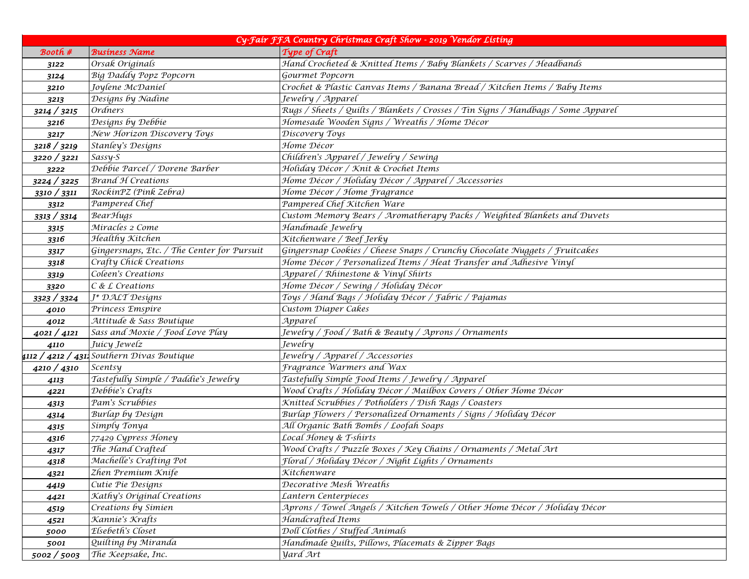| Cy-Fair FFA Country Christmas Craft Show - 2019 Vendor Listing |                                                   |                                                                                   |
|----------------------------------------------------------------|---------------------------------------------------|-----------------------------------------------------------------------------------|
| Booth #                                                        | <b>Business Name</b>                              | Type of Craft                                                                     |
| 3122                                                           | Orsak Originals                                   | Hand Crocheted & Knitted Items / Baby Blankets / Scarves / Headbands              |
| 3124                                                           | Big Daddy Popz Popcorn                            | Gourmet Popcorn                                                                   |
| 3210                                                           | Joylene McDaniel                                  | Crochet & Plastic Canvas Items / Banana Bread / Kitchen Items / Baby Items        |
| 3213                                                           | Designs by Nadine                                 | Jewelry / Apparel                                                                 |
| 3214 / 3215                                                    | <b>Ordners</b>                                    | Rugs / Sheets / Quilts / Blankets / Crosses / Tin Signs / Handbags / Some Apparel |
| 3216                                                           | Designs by Debbie                                 | Homesade Wooden Signs / Wreaths / Home Décor                                      |
| 3217                                                           | New Horizon Discovery Toys                        | Discovery Toys                                                                    |
| 3218 / 3219                                                    | Stanley's Designs                                 | Home Décor                                                                        |
| 3220 / 3221                                                    | Sassy-S                                           | Children's Apparel / Jewelry / Sewing                                             |
| 3222                                                           | Debbie Parcel / Dorene Barber                     | Holiday Décor / Knit & Crochet Items                                              |
| 3224 / 3225                                                    | <b>Brand H Creations</b>                          | Home Décor / Holiday Décor / Apparel / Accessories                                |
| 3310 / 3311                                                    | RockinPZ (Pink Zebra)                             | Home Décor / Home Fragrance                                                       |
| 3312                                                           | Pampered Chef                                     | Pampered Chef Kitchen Ware                                                        |
| 3313 / 3314                                                    | <b>BearHugs</b>                                   | Custom Memory Bears / Aromatherapy Packs / Weighted Blankets and Duvets           |
| 3315                                                           | Miracles 2 Come                                   | Handmade Jewelry                                                                  |
| 3316                                                           | Healthy Kitchen                                   | Kitchenware / Beef Jerky                                                          |
| 3317                                                           | Gingersnaps, Etc. / The Center for Pursuit        | Gingersnap Cookies / Cheese Snaps / Crunchy Chocolate Nuggets / Fruitcakes        |
| 3318                                                           | Crafty Chick Creations                            | Home Décor / Personalized Items / Heat Transfer and Adhesive Vinyl                |
| 3319                                                           | Coleen's Creations                                | Apparel / Rhinestone & Vinyl Shirts                                               |
| 3320                                                           | $C & L$ Creations                                 | Home Décor / Sewing / Holiday Décor                                               |
| 3323 / 3324                                                    | J* DALT Designs                                   | Toys / Hand Bags / Holiday Décor / Fabric / Pajamas                               |
| 4010                                                           | Princess Emspire                                  | Custom Diaper Cakes                                                               |
| 4012                                                           | Attitude & Sass Boutique                          | Apparel                                                                           |
| 4021 / 4121                                                    | Sass and Moxie / Food Love Play                   | Jewelry / Food / Bath & Beauty / Aprons / Ornaments                               |
| 4110                                                           | Juicy Jewelz                                      | Jewelry                                                                           |
|                                                                | 4112 <b>/ 4212 / 431.</b> Southern Divas Boutique | Jewelry / Apparel / Accessories                                                   |
| 4210 / 4310                                                    | Scentsy                                           | Fragrance Warmers and Wax                                                         |
| 4113                                                           | Tastefully Simple / Paddie's Jewelry              | Tastefully Simple Food Items / Jewelry / Apparel                                  |
| 4221                                                           | Debbie's Crafts                                   | Wood Crafts / Holiday Décor / Mailbox Covers / Other Home Décor                   |
| 4313                                                           | Pam's Scrubbies                                   | Knitted Scrubbies / Potholders / Dish Rags / Coasters                             |
| 4314                                                           | Burlap by Design                                  | Burlap Flowers / Personalized Ornaments / Signs / Holiday Décor                   |
| 4315                                                           | Simply Tonya                                      | All Organic Bath Bombs / Loofah Soaps                                             |
| 4316                                                           | 77429 Cypress Honey                               | Local Honey & T-shirts                                                            |
| 4317                                                           | The Hand Crafted                                  | Wood Crafts / Puzzle Boxes / Key Chains / Ornaments / Metal Art                   |
| 4318                                                           | Machelle's Crafting Pot                           | Floral / Holiday Décor / Night Lights / Ornaments                                 |
| 4321                                                           | Zhen Premium Knife                                | Kitchenware                                                                       |
| 4419                                                           | Cutie Pie Designs                                 | Decorative Mesh Wreaths                                                           |
| 4421                                                           | Kathy's Original Creations                        | Lantern Centerpieces                                                              |
| 4519                                                           | Creations by Simien                               | Aprons / Towel Angels / Kitchen Towels / Other Home Décor / Holiday Décor         |
| 4521                                                           | Kannie's Krafts                                   | Handcrafted Items                                                                 |
| 5000                                                           | Elsebeth's Closet                                 | Doll Clothes / Stuffed Animals                                                    |
| 5001                                                           | Quilting by Miranda                               | Handmade Quilts, Pillows, Placemats & Zipper Bags                                 |
| 5002 / 5003                                                    | The Keepsake, Inc.                                | <b>yard</b> Art                                                                   |